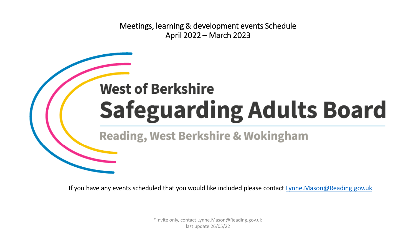Meetings, learning & development events Schedule April 2022 – March 2023

# **West of Berkshire Safeguarding Adults Board**

**Reading, West Berkshire & Wokingham** 

If you have any events scheduled that you would like included please contact [Lynne.Mason@Reading.gov.uk](mailto:Lynne.Mason@Reading.gov.uk)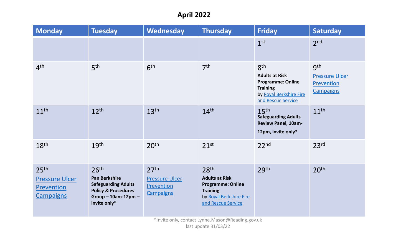# **April 2022**

| <b>Monday</b>                                                                      | <b>Tuesday</b>                                                                                                                               | Wednesday                                                                   | <b>Thursday</b>                                                                                                                           | <b>Friday</b>                                                                                                                            | Saturday                                                                   |
|------------------------------------------------------------------------------------|----------------------------------------------------------------------------------------------------------------------------------------------|-----------------------------------------------------------------------------|-------------------------------------------------------------------------------------------------------------------------------------------|------------------------------------------------------------------------------------------------------------------------------------------|----------------------------------------------------------------------------|
|                                                                                    |                                                                                                                                              |                                                                             |                                                                                                                                           | 1 <sup>st</sup>                                                                                                                          | 2 <sub>nd</sub>                                                            |
| 4 <sup>th</sup>                                                                    | 5 <sup>th</sup>                                                                                                                              | 6 <sup>th</sup>                                                             | 7 <sup>th</sup>                                                                                                                           | 8 <sup>th</sup><br><b>Adults at Risk</b><br><b>Programme: Online</b><br><b>Training</b><br>by Royal Berkshire Fire<br>and Rescue Service | 9 <sup>th</sup><br><b>Pressure Ulcer</b><br>Prevention<br><b>Campaigns</b> |
| 11 <sup>th</sup>                                                                   | 12 <sup>th</sup>                                                                                                                             | 13 <sup>th</sup>                                                            | 14 <sup>th</sup>                                                                                                                          | 15 <sup>th</sup><br><b>Safeguarding Adults</b><br>Review Panel, 10am-<br>12pm, invite only*                                              | 11 <sup>th</sup>                                                           |
| 18 <sup>th</sup>                                                                   | 19 <sup>th</sup>                                                                                                                             | 20 <sup>th</sup>                                                            | $21^{st}$                                                                                                                                 | 22 <sup>nd</sup>                                                                                                                         | 23 <sup>rd</sup>                                                           |
| 25 <sup>th</sup><br><b>Pressure Ulcer</b><br><b>Prevention</b><br><b>Campaigns</b> | 26 <sup>th</sup><br>Pan Berkshire<br><b>Safeguarding Adults</b><br><b>Policy &amp; Procedures</b><br>Group $-$ 10am-12pm $-$<br>invite only* | 27 <sup>th</sup><br><b>Pressure Ulcer</b><br>Prevention<br><b>Campaigns</b> | 28 <sup>th</sup><br><b>Adults at Risk</b><br><b>Programme: Online</b><br><b>Training</b><br>by Royal Berkshire Fire<br>and Rescue Service | 29 <sup>th</sup>                                                                                                                         | 20 <sup>th</sup>                                                           |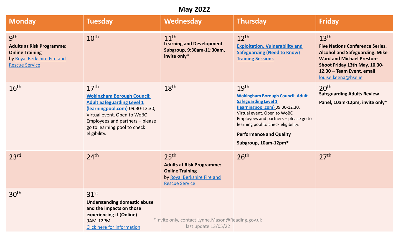#### **May 2022**

| <b>Monday</b>                                                                                                             | <b>Tuesday</b>                                                                                                                                                                                                                                  | <b>Wednesday</b>                                                                                                                       | <b>Thursday</b>                                                                                                                                                                                                                                                                                        | <b>Friday</b>                                                                                                                                                                                                                |
|---------------------------------------------------------------------------------------------------------------------------|-------------------------------------------------------------------------------------------------------------------------------------------------------------------------------------------------------------------------------------------------|----------------------------------------------------------------------------------------------------------------------------------------|--------------------------------------------------------------------------------------------------------------------------------------------------------------------------------------------------------------------------------------------------------------------------------------------------------|------------------------------------------------------------------------------------------------------------------------------------------------------------------------------------------------------------------------------|
| gth<br><b>Adults at Risk Programme:</b><br><b>Online Training</b><br>by Royal Berkshire Fire and<br><b>Rescue Service</b> | 10 <sup>th</sup>                                                                                                                                                                                                                                | 11 <sup>th</sup><br><b>Learning and Development</b><br>Subgroup, 9:30am-11:30am,<br>invite only*                                       | $12^{th}$<br><b>Exploitation, Vulnerability and</b><br><b>Safeguarding (Need to Know)</b><br><b>Training Sessions</b>                                                                                                                                                                                  | 13 <sup>th</sup><br><b>Five Nations Conference Series.</b><br><b>Alcohol and Safeguarding. Mike</b><br><b>Ward and Michael Preston-</b><br>Shoot Friday 13th May, 10.30-<br>12.30 - Team Event, email<br>louise.keena@hse.ie |
| 16 <sup>th</sup>                                                                                                          | 17 <sup>th</sup><br><b>Wokingham Borough Council:</b><br><b>Adult Safeguarding Level 1</b><br>(learningpool.com) 09.30-12.30,<br>Virtual event. Open to WoBC<br>Employees and partners - please<br>go to learning pool to check<br>eligibility. | 18 <sup>th</sup>                                                                                                                       | 19 <sup>th</sup><br><b>Wokingham Borough Council: Adult</b><br><b>Safeguarding Level 1</b><br>(learningpool.com) 09.30-12.30,<br>Virtual event. Open to WoBC<br>Employees and partners - please go to<br>learning pool to check eligibility.<br><b>Performance and Quality</b><br>Subgroup, 10am-12pm* | 20 <sup>th</sup><br><b>Safeguarding Adults Review</b><br>Panel, 10am-12pm, invite only*                                                                                                                                      |
| 23 <sup>rd</sup>                                                                                                          | 24 <sup>th</sup>                                                                                                                                                                                                                                | 25 <sup>th</sup><br><b>Adults at Risk Programme:</b><br><b>Online Training</b><br>by Royal Berkshire Fire and<br><b>Rescue Service</b> | 26 <sup>th</sup>                                                                                                                                                                                                                                                                                       | 27 <sup>th</sup>                                                                                                                                                                                                             |
| 30 <sup>th</sup>                                                                                                          | 31 <sup>st</sup><br><b>Understanding domestic abuse</b><br>and the impacts on those<br>experiencing it (Online)<br><b>9AM-12PM</b><br>Click here for information                                                                                | *Invite only, contact Lynne.Mason@Reading.gov.uk<br>last update 13/05/22                                                               |                                                                                                                                                                                                                                                                                                        |                                                                                                                                                                                                                              |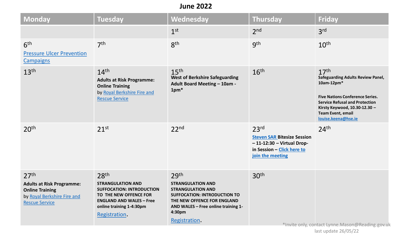#### **June 2022**

| <b>Monday</b>                                                                                                                          | <b>Tuesday</b>                                                                                                                                                                             | Wednesday                                                                                                                                                                                                        | <b>Thursday</b>                                                                                                                         | <b>Friday</b>                                                                                                                                                                                                                                     |
|----------------------------------------------------------------------------------------------------------------------------------------|--------------------------------------------------------------------------------------------------------------------------------------------------------------------------------------------|------------------------------------------------------------------------------------------------------------------------------------------------------------------------------------------------------------------|-----------------------------------------------------------------------------------------------------------------------------------------|---------------------------------------------------------------------------------------------------------------------------------------------------------------------------------------------------------------------------------------------------|
|                                                                                                                                        |                                                                                                                                                                                            | 1 <sup>st</sup>                                                                                                                                                                                                  | 2 <sub>nd</sub>                                                                                                                         | 3 <sup>rd</sup>                                                                                                                                                                                                                                   |
| 6 <sup>th</sup><br><b>Pressure Ulcer Prevention</b><br><b>Campaigns</b>                                                                | 7 <sup>th</sup>                                                                                                                                                                            | 8 <sup>th</sup>                                                                                                                                                                                                  | gth                                                                                                                                     | 10 <sup>th</sup>                                                                                                                                                                                                                                  |
| 13 <sup>th</sup>                                                                                                                       | 14 <sup>th</sup><br><b>Adults at Risk Programme:</b><br><b>Online Training</b><br>by Royal Berkshire Fire and<br><b>Rescue Service</b>                                                     | 15 <sup>th</sup><br><b>West of Berkshire Safeguarding</b><br><b>Adult Board Meeting - 10am -</b><br>1pm*                                                                                                         | 16 <sup>th</sup>                                                                                                                        | 17 <sup>th</sup><br><b>Safeguarding Adults Review Panel,</b><br>10am-12pm*<br><b>Five Nations Conference Series.</b><br><b>Service Refusal and Protection</b><br>Kirsty Keywood, 10.30-12.30 -<br><b>Team Event, email</b><br>louise.keena@hse.ie |
| 20 <sup>th</sup>                                                                                                                       | 21 <sup>st</sup>                                                                                                                                                                           | 22 <sup>nd</sup>                                                                                                                                                                                                 | 23 <sup>rd</sup><br><b>Steven SAR Bitesize Session</b><br>$-11-12:30 - Virtual Drop-$<br>in Session - Click here to<br>join the meeting | 24 <sup>th</sup>                                                                                                                                                                                                                                  |
| 27 <sup>th</sup><br><b>Adults at Risk Programme:</b><br><b>Online Training</b><br>by Royal Berkshire Fire and<br><b>Rescue Service</b> | 28 <sup>th</sup><br><b>STRANGULATION AND</b><br><b>SUFFOCATION: INTRODUCTION</b><br>TO THE NEW OFFENCE FOR<br><b>ENGLAND AND WALES - Free</b><br>online training 1-4:30pm<br>Registration. | 29 <sup>th</sup><br><b>STRANGULATION AND</b><br><b>STRANGULATION AND</b><br><b>SUFFOCATION: INTRODUCTION TO</b><br>THE NEW OFFENCE FOR ENGLAND<br>AND WALES - Free online training 1-<br>4:30pm<br>Registration. | 30 <sup>th</sup>                                                                                                                        | *Invite only, contact Lynne.Mason@Reading.gov.uk                                                                                                                                                                                                  |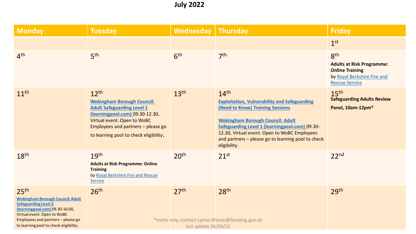# **July 2022**

| <b>Monday</b>                                                                                                                                                                                                                                | <b>Tuesday</b>                                                                                                                                                                                                                        | <b>Wednesday</b>                         | <b>Thursday</b>                                                                                                                                                                                                                                                                                                                       | <b>Friday</b>                                                                                                                         |
|----------------------------------------------------------------------------------------------------------------------------------------------------------------------------------------------------------------------------------------------|---------------------------------------------------------------------------------------------------------------------------------------------------------------------------------------------------------------------------------------|------------------------------------------|---------------------------------------------------------------------------------------------------------------------------------------------------------------------------------------------------------------------------------------------------------------------------------------------------------------------------------------|---------------------------------------------------------------------------------------------------------------------------------------|
|                                                                                                                                                                                                                                              |                                                                                                                                                                                                                                       |                                          |                                                                                                                                                                                                                                                                                                                                       | 1 <sup>st</sup>                                                                                                                       |
| 4 <sup>th</sup>                                                                                                                                                                                                                              | 5 <sup>th</sup>                                                                                                                                                                                                                       | 6 <sup>th</sup>                          | 7 <sup>th</sup>                                                                                                                                                                                                                                                                                                                       | 8 <sup>th</sup><br><b>Adults at Risk Programme:</b><br><b>Online Training</b><br>by Royal Berkshire Fire and<br><b>Rescue Service</b> |
| 11 <sup>th</sup>                                                                                                                                                                                                                             | $12^{th}$<br><b>Wokingham Borough Council:</b><br><b>Adult Safeguarding Level 1</b><br>(learningpool.com) 09.30-12.30,<br>Virtual event. Open to WoBC<br>Employees and partners - please go<br>to learning pool to check eligibility. | 13 <sup>th</sup>                         | 14 <sup>th</sup><br><b>Exploitation, Vulnerability and Safeguarding</b><br>(Need to Know) Training Sessions<br><b>Wokingham Borough Council: Adult</b><br><b>Safeguarding Level 1 (learningpool.com) 09.30-</b><br>12.30, Virtual event. Open to WoBC Employees<br>and partners - please go to learning pool to check<br>eligibility. | 15 <sup>th</sup><br><b>Safeguarding Adults Review</b><br>Panel, 10am-12pm*                                                            |
| 18 <sup>th</sup>                                                                                                                                                                                                                             | 19 <sup>th</sup><br><b>Adults at Risk Programme: Online</b><br><b>Training</b><br>by Royal Berkshire Fire and Rescue<br>Service                                                                                                       | 20 <sup>th</sup>                         | $21^{st}$                                                                                                                                                                                                                                                                                                                             | 22 <sup>nd</sup>                                                                                                                      |
| 25 <sup>th</sup><br><b>Wokingham Borough Council: Adult</b><br><b>Safeguarding Level 2</b><br>(learningpool.com) 09.30-16:00,<br>Virtual event. Open to WoBC<br>Employees and partners - please go<br>to learning pool to check eligibility. | 26 <sup>th</sup>                                                                                                                                                                                                                      | 27 <sup>th</sup><br>last update 26/04/22 | 28 <sup>th</sup><br>*Invite only, contact Lynne.Mason@Reading.gov.uk                                                                                                                                                                                                                                                                  | 29 <sup>th</sup>                                                                                                                      |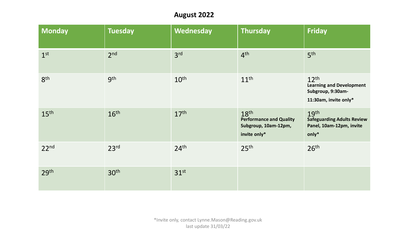## **August 2022**

| <b>Monday</b>    | <b>Tuesday</b>   | Wednesday        | <b>Thursday</b>                                                                            | <b>Friday</b>                                                                                     |
|------------------|------------------|------------------|--------------------------------------------------------------------------------------------|---------------------------------------------------------------------------------------------------|
| 1 <sup>st</sup>  | 2 <sub>nd</sub>  | 3 <sup>rd</sup>  | 4 <sup>th</sup>                                                                            | 5 <sup>th</sup>                                                                                   |
| 8 <sup>th</sup>  | <b>gth</b>       | 10 <sup>th</sup> | 11 <sup>th</sup>                                                                           | 12 <sup>th</sup><br><b>Learning and Development</b><br>Subgroup, 9:30am-<br>11:30am, invite only* |
| 15 <sup>th</sup> | 16 <sup>th</sup> | 17 <sup>th</sup> | 18 <sup>th</sup><br><b>Performance and Quality</b><br>Subgroup, 10am-12pm,<br>invite only* | 19 <sup>th</sup><br><b>Safeguarding Adults Review</b><br>Panel, 10am-12pm, invite<br>only*        |
| 22 <sup>nd</sup> | 23 <sup>rd</sup> | 24 <sup>th</sup> | 25 <sup>th</sup>                                                                           | 26 <sup>th</sup>                                                                                  |
| 29 <sup>th</sup> | 30 <sup>th</sup> | 31 <sup>st</sup> |                                                                                            |                                                                                                   |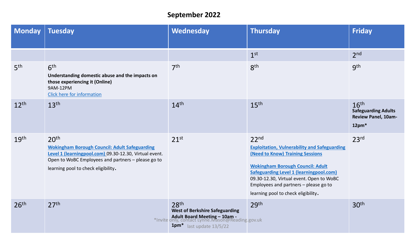# **September 2022**

| <b>Monday</b>    | <b>Tuesday</b>                                                                                                                                                                                                                  | Wednesday                                                                                                                                             | Thursday                                                                                                                                                                                                                                                                                                                             | <b>Friday</b>                                                                           |
|------------------|---------------------------------------------------------------------------------------------------------------------------------------------------------------------------------------------------------------------------------|-------------------------------------------------------------------------------------------------------------------------------------------------------|--------------------------------------------------------------------------------------------------------------------------------------------------------------------------------------------------------------------------------------------------------------------------------------------------------------------------------------|-----------------------------------------------------------------------------------------|
|                  |                                                                                                                                                                                                                                 |                                                                                                                                                       | 1 <sup>st</sup>                                                                                                                                                                                                                                                                                                                      | 2 <sub>nd</sub>                                                                         |
| 5 <sup>th</sup>  | 6 <sup>th</sup><br>Understanding domestic abuse and the impacts on<br>those experiencing it (Online)<br>9AM-12PM<br>Click here for information                                                                                  | 7 <sup>th</sup>                                                                                                                                       | 8 <sup>th</sup>                                                                                                                                                                                                                                                                                                                      | gth                                                                                     |
| 12 <sup>th</sup> | 13 <sup>th</sup>                                                                                                                                                                                                                | 14 <sup>th</sup>                                                                                                                                      | 15 <sup>th</sup>                                                                                                                                                                                                                                                                                                                     | 16 <sup>th</sup><br><b>Safeguarding Adults</b><br><b>Review Panel, 10am-</b><br>$12pm*$ |
| 19 <sup>th</sup> | 20 <sup>th</sup><br><b>Wokingham Borough Council: Adult Safeguarding</b><br>Level 1 (learningpool.com) 09.30-12.30, Virtual event.<br>Open to WoBC Employees and partners - please go to<br>learning pool to check eligibility. | 21 <sup>st</sup>                                                                                                                                      | 22 <sup>nd</sup><br><b>Exploitation, Vulnerability and Safeguarding</b><br>(Need to Know) Training Sessions<br><b>Wokingham Borough Council: Adult</b><br><b>Safeguarding Level 1 (learningpool.com)</b><br>09.30-12.30, Virtual event. Open to WoBC<br>Employees and partners - please go to<br>learning pool to check eligibility. | 23 <sup>rd</sup>                                                                        |
| 26 <sup>th</sup> | 27 <sup>th</sup>                                                                                                                                                                                                                | 28 <sup>th</sup><br><b>West of Berkshire Safeguarding</b><br>*Invite only, contact Lynne.Mason@Reading.gov.uk<br>1pm <sup>*</sup> last update 13/5/22 | 29 <sup>th</sup>                                                                                                                                                                                                                                                                                                                     | 30 <sup>th</sup>                                                                        |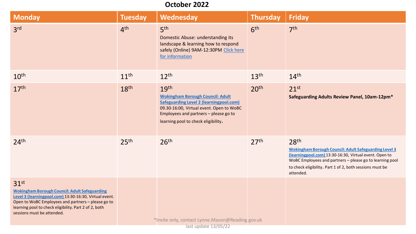#### **October 2022**

| <b>Monday</b>                                                                                                                                                                                                                                                                   | <b>Tuesday</b>   | <b>Wednesday</b>                                                                                                                                                                                                                          | <b>Thursday</b>  | <b>Friday</b>                                                                                                                                                                                                                                                                   |
|---------------------------------------------------------------------------------------------------------------------------------------------------------------------------------------------------------------------------------------------------------------------------------|------------------|-------------------------------------------------------------------------------------------------------------------------------------------------------------------------------------------------------------------------------------------|------------------|---------------------------------------------------------------------------------------------------------------------------------------------------------------------------------------------------------------------------------------------------------------------------------|
| 3 <sup>rd</sup>                                                                                                                                                                                                                                                                 | 4 <sup>th</sup>  | 5 <sup>th</sup><br>Domestic Abuse: understanding its<br>landscape & learning how to respond<br>safely (Online) 9AM-12:30PM Click here<br>for information                                                                                  | 6 <sup>th</sup>  | 7 <sup>th</sup>                                                                                                                                                                                                                                                                 |
| 10 <sup>th</sup>                                                                                                                                                                                                                                                                | 11 <sup>th</sup> | $12^{th}$                                                                                                                                                                                                                                 | 13 <sup>th</sup> | 14 <sup>th</sup>                                                                                                                                                                                                                                                                |
| 17 <sup>th</sup>                                                                                                                                                                                                                                                                | 18 <sup>th</sup> | 19 <sup>th</sup><br><b>Wokingham Borough Council: Adult</b><br><b>Safeguarding Level 2 (learningpool.com)</b><br>09.30-16:00, Virtual event. Open to WoBC<br>Employees and partners - please go to<br>learning pool to check eligibility. | 20 <sup>th</sup> | $21^{st}$<br>Safeguarding Adults Review Panel, 10am-12pm*                                                                                                                                                                                                                       |
| 24 <sup>th</sup>                                                                                                                                                                                                                                                                | 25 <sup>th</sup> | 26 <sup>th</sup>                                                                                                                                                                                                                          | 27 <sup>th</sup> | 28 <sup>th</sup><br><b>Wokingham Borough Council: Adult Safeguarding Level 3</b><br>(learningpool.com) 13:30-16:30, Virtual event. Open to<br>WoBC Employees and partners - please go to learning pool<br>to check eligibility. Part 1 of 2, both sessions must be<br>attended. |
| 31 <sup>st</sup><br><b>Wokingham Borough Council: Adult Safeguarding</b><br>Level 3 (learningpool.com) 13:30-16:30, Virtual event.<br>Open to WoBC Employees and partners - please go to<br>learning pool to check eligibility. Part 2 of 2, both<br>sessions must be attended. |                  | *Invite only, contact Lynne.Mason@Reading.gov.uk                                                                                                                                                                                          |                  |                                                                                                                                                                                                                                                                                 |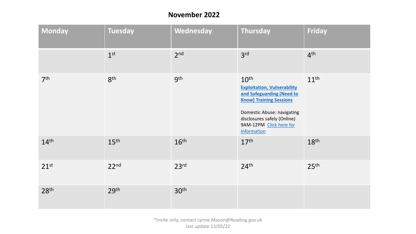### **November 2022**

| <b>Monday</b>    | <b>Tuesday</b>   | Wednesday        | Thursday                                                                                                                                                                                                                     | Friday           |
|------------------|------------------|------------------|------------------------------------------------------------------------------------------------------------------------------------------------------------------------------------------------------------------------------|------------------|
|                  | 1 <sup>st</sup>  | 2 <sub>nd</sub>  | 3 <sup>rd</sup>                                                                                                                                                                                                              | 4 <sup>th</sup>  |
| 7 <sup>th</sup>  | 8 <sup>th</sup>  | <b>gth</b>       | 10 <sup>th</sup><br><b>Exploitation, Vulnerability</b><br>and Safeguarding (Need to<br><b>Know) Training Sessions</b><br>Domestic Abuse: navigating<br>disclosures safely (Online)<br>9AM-12PM Click here for<br>information | 11 <sup>th</sup> |
| 14 <sup>th</sup> | 15 <sup>th</sup> | 16 <sup>th</sup> | 17 <sup>th</sup>                                                                                                                                                                                                             | 18 <sup>th</sup> |
| 21 <sup>st</sup> | 22 <sup>nd</sup> | 23 <sup>rd</sup> | 24 <sup>th</sup>                                                                                                                                                                                                             | 25 <sup>th</sup> |
| 28 <sup>th</sup> | 29 <sup>th</sup> | 30 <sup>th</sup> |                                                                                                                                                                                                                              |                  |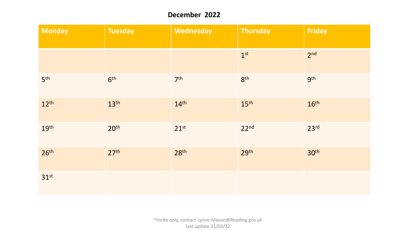### **December 2022**

| <b>Monday</b>    | <b>Tuesday</b>   | Wednesday        | <b>Thursday</b>  | Friday           |
|------------------|------------------|------------------|------------------|------------------|
|                  |                  |                  | 1 <sup>st</sup>  | 2 <sub>nd</sub>  |
| 5 <sup>th</sup>  | 6 <sup>th</sup>  | 7 <sup>th</sup>  | 8 <sup>th</sup>  | <b>gth</b>       |
| 12 <sup>th</sup> | 13 <sup>th</sup> | 14 <sup>th</sup> | 15 <sup>th</sup> | 16 <sup>th</sup> |
| 19 <sup>th</sup> | 20 <sup>th</sup> | $21^{st}$        | 22 <sup>nd</sup> | 23 <sup>rd</sup> |
| 26 <sup>th</sup> | 27 <sup>th</sup> | 28 <sup>th</sup> | 29 <sup>th</sup> | 30 <sup>th</sup> |
| 31 <sup>st</sup> |                  |                  |                  |                  |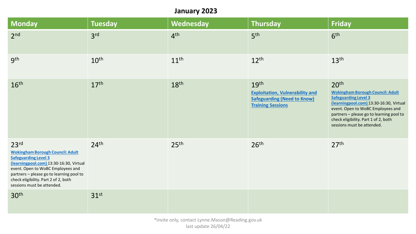# **January 2023**

| Monday                                                                                                                                                                                                                                                                                       | <b>Tuesday</b>   | Wednesday        | <b>Thursday</b>                                                                                                              | <b>Friday</b>                                                                                                                                                                                                                                                                                |
|----------------------------------------------------------------------------------------------------------------------------------------------------------------------------------------------------------------------------------------------------------------------------------------------|------------------|------------------|------------------------------------------------------------------------------------------------------------------------------|----------------------------------------------------------------------------------------------------------------------------------------------------------------------------------------------------------------------------------------------------------------------------------------------|
| 2 <sub>nd</sub>                                                                                                                                                                                                                                                                              | 3 <sup>rd</sup>  | 4 <sup>th</sup>  | 5 <sup>th</sup>                                                                                                              | 6 <sup>th</sup>                                                                                                                                                                                                                                                                              |
| <b>gth</b>                                                                                                                                                                                                                                                                                   | 10 <sup>th</sup> | 11 <sup>th</sup> | 12 <sup>th</sup>                                                                                                             | 13 <sup>th</sup>                                                                                                                                                                                                                                                                             |
| 16 <sup>th</sup>                                                                                                                                                                                                                                                                             | 17 <sup>th</sup> | 18 <sup>th</sup> | 19 <sup>th</sup><br><b>Exploitation, Vulnerability and</b><br><b>Safeguarding (Need to Know)</b><br><b>Training Sessions</b> | 20 <sup>th</sup><br><b>Wokingham Borough Council: Adult</b><br><b>Safeguarding Level 3</b><br>(learningpool.com) 13:30-16:30, Virtual<br>event. Open to WoBC Employees and<br>partners - please go to learning pool to<br>check eligibility. Part 1 of 2, both<br>sessions must be attended. |
| 23 <sup>rd</sup><br><b>Wokingham Borough Council: Adult</b><br><b>Safeguarding Level 3</b><br>(learningpool.com) 13:30-16:30, Virtual<br>event. Open to WoBC Employees and<br>partners - please go to learning pool to<br>check eligibility. Part 2 of 2, both<br>sessions must be attended. | 24 <sup>th</sup> | 25 <sup>th</sup> | 26 <sup>th</sup>                                                                                                             | 27 <sup>th</sup>                                                                                                                                                                                                                                                                             |
| 30 <sup>th</sup>                                                                                                                                                                                                                                                                             | 31 <sup>st</sup> |                  |                                                                                                                              |                                                                                                                                                                                                                                                                                              |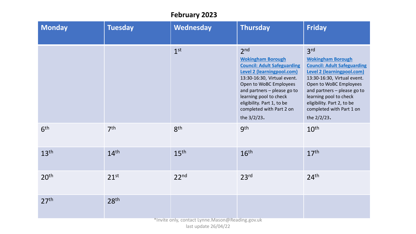## **February 2023**

| <b>Monday</b>    | <b>Tuesday</b>   | Wednesday                                       | <b>Thursday</b>                                                                                                                                                                                                                                                                                                   | <b>Friday</b>                                                                                                                                                                                                                                                                                                     |
|------------------|------------------|-------------------------------------------------|-------------------------------------------------------------------------------------------------------------------------------------------------------------------------------------------------------------------------------------------------------------------------------------------------------------------|-------------------------------------------------------------------------------------------------------------------------------------------------------------------------------------------------------------------------------------------------------------------------------------------------------------------|
|                  |                  | 1 <sup>st</sup>                                 | 2 <sub>nd</sub><br><b>Wokingham Borough</b><br><b>Council: Adult Safeguarding</b><br><b>Level 2 (learningpool.com)</b><br>13:30-16:30, Virtual event.<br>Open to WoBC Employees<br>and partners - please go to<br>learning pool to check<br>eligibility. Part 1, to be<br>completed with Part 2 on<br>the 3/2/23. | 3 <sup>rd</sup><br><b>Wokingham Borough</b><br><b>Council: Adult Safeguarding</b><br><b>Level 2 (learningpool.com)</b><br>13:30-16:30, Virtual event.<br>Open to WoBC Employees<br>and partners - please go to<br>learning pool to check<br>eligibility. Part 2, to be<br>completed with Part 1 on<br>the 2/2/23. |
| 6 <sup>th</sup>  | 7 <sup>th</sup>  | 8 <sup>th</sup>                                 | gth                                                                                                                                                                                                                                                                                                               | 10 <sup>th</sup>                                                                                                                                                                                                                                                                                                  |
| 13 <sup>th</sup> | 14 <sup>th</sup> | 15 <sup>th</sup>                                | 16 <sup>th</sup>                                                                                                                                                                                                                                                                                                  | 17 <sup>th</sup>                                                                                                                                                                                                                                                                                                  |
| 20 <sup>th</sup> | $21^{st}$        | 22 <sup>nd</sup>                                | 23 <sup>rd</sup>                                                                                                                                                                                                                                                                                                  | 24 <sup>th</sup>                                                                                                                                                                                                                                                                                                  |
| 27 <sup>th</sup> | 28 <sup>th</sup> | *Invite only contact Lynne Mason@Reading gov uk |                                                                                                                                                                                                                                                                                                                   |                                                                                                                                                                                                                                                                                                                   |